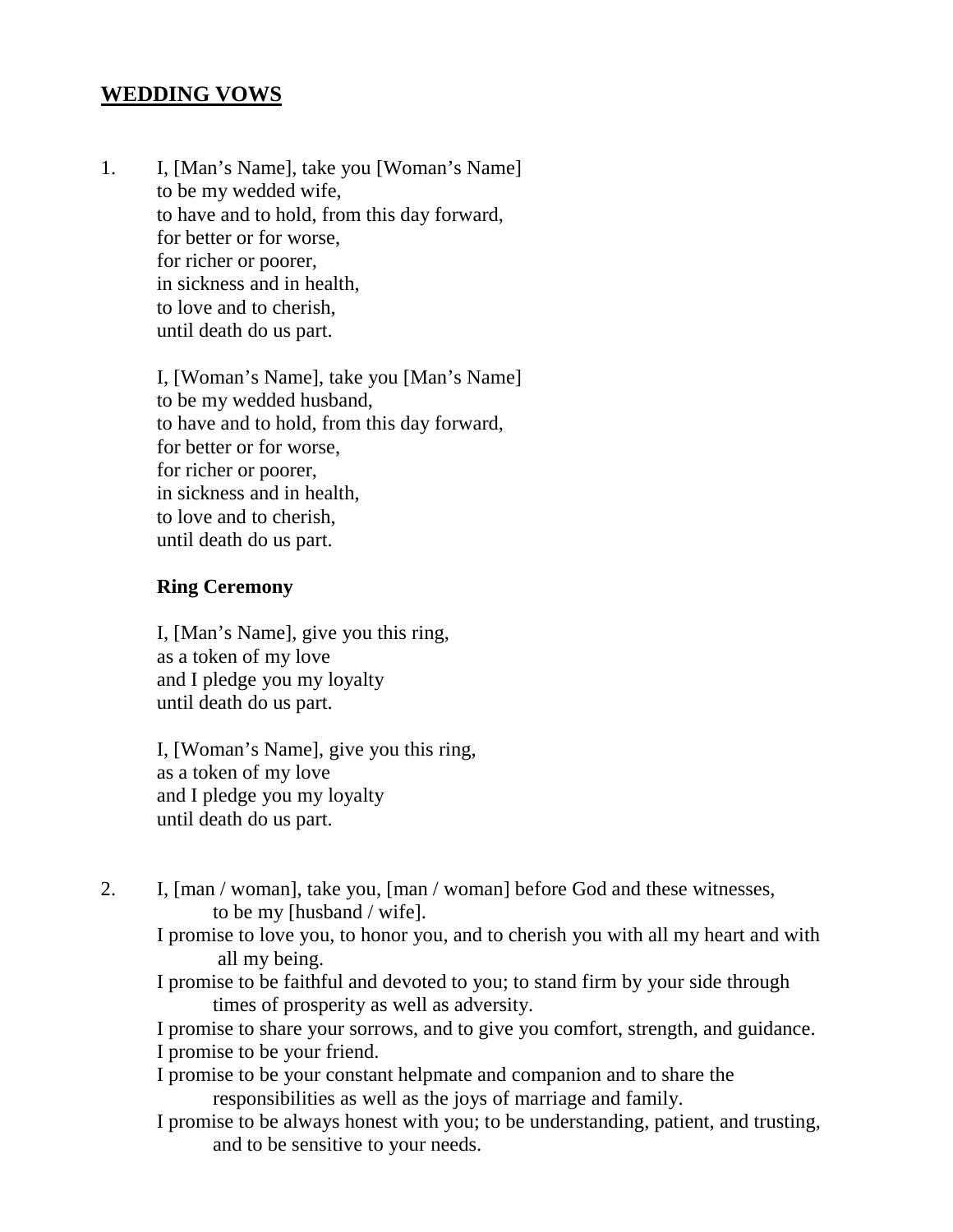## **WEDDING VOWS**

1. I, [Man's Name], take you [Woman's Name] to be my wedded wife, to have and to hold, from this day forward, for better or for worse, for richer or poorer, in sickness and in health, to love and to cherish, until death do us part.

> I, [Woman's Name], take you [Man's Name] to be my wedded husband, to have and to hold, from this day forward, for better or for worse, for richer or poorer, in sickness and in health, to love and to cherish, until death do us part.

## **Ring Ceremony**

I, [Man's Name], give you this ring, as a token of my love and I pledge you my loyalty until death do us part.

I, [Woman's Name], give you this ring, as a token of my love and I pledge you my loyalty until death do us part.

- 2. I, [man / woman], take you, [man / woman] before God and these witnesses, to be my [husband / wife].
	- I promise to love you, to honor you, and to cherish you with all my heart and with all my being.
	- I promise to be faithful and devoted to you; to stand firm by your side through times of prosperity as well as adversity.

I promise to share your sorrows, and to give you comfort, strength, and guidance.

I promise to be your friend.

I promise to be your constant helpmate and companion and to share the responsibilities as well as the joys of marriage and family.

I promise to be always honest with you; to be understanding, patient, and trusting, and to be sensitive to your needs.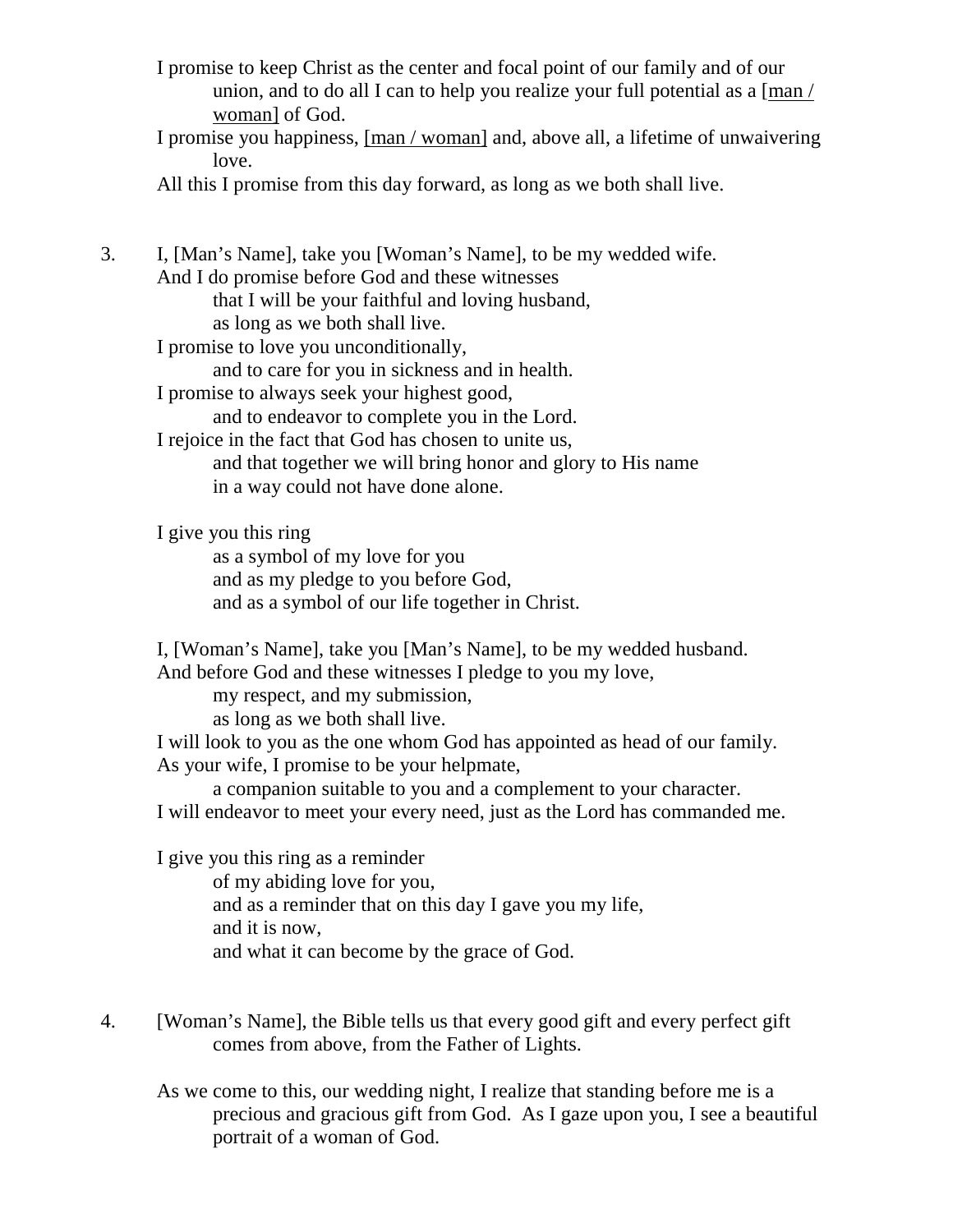- I promise to keep Christ as the center and focal point of our family and of our union, and to do all I can to help you realize your full potential as a [man / woman] of God.
- I promise you happiness, [man / woman] and, above all, a lifetime of unwaivering love.

All this I promise from this day forward, as long as we both shall live.

3. I, [Man's Name], take you [Woman's Name], to be my wedded wife. And I do promise before God and these witnesses that I will be your faithful and loving husband, as long as we both shall live. I promise to love you unconditionally, and to care for you in sickness and in health. I promise to always seek your highest good, and to endeavor to complete you in the Lord. I rejoice in the fact that God has chosen to unite us, and that together we will bring honor and glory to His name in a way could not have done alone. I give you this ring as a symbol of my love for you and as my pledge to you before God, and as a symbol of our life together in Christ. I, [Woman's Name], take you [Man's Name], to be my wedded husband. And before God and these witnesses I pledge to you my love, my respect, and my submission, as long as we both shall live. I will look to you as the one whom God has appointed as head of our family. As your wife, I promise to be your helpmate, a companion suitable to you and a complement to your character. I will endeavor to meet your every need, just as the Lord has commanded me.

I give you this ring as a reminder of my abiding love for you, and as a reminder that on this day I gave you my life, and it is now, and what it can become by the grace of God.

- 4. [Woman's Name], the Bible tells us that every good gift and every perfect gift comes from above, from the Father of Lights.
	- As we come to this, our wedding night, I realize that standing before me is a precious and gracious gift from God. As I gaze upon you, I see a beautiful portrait of a woman of God.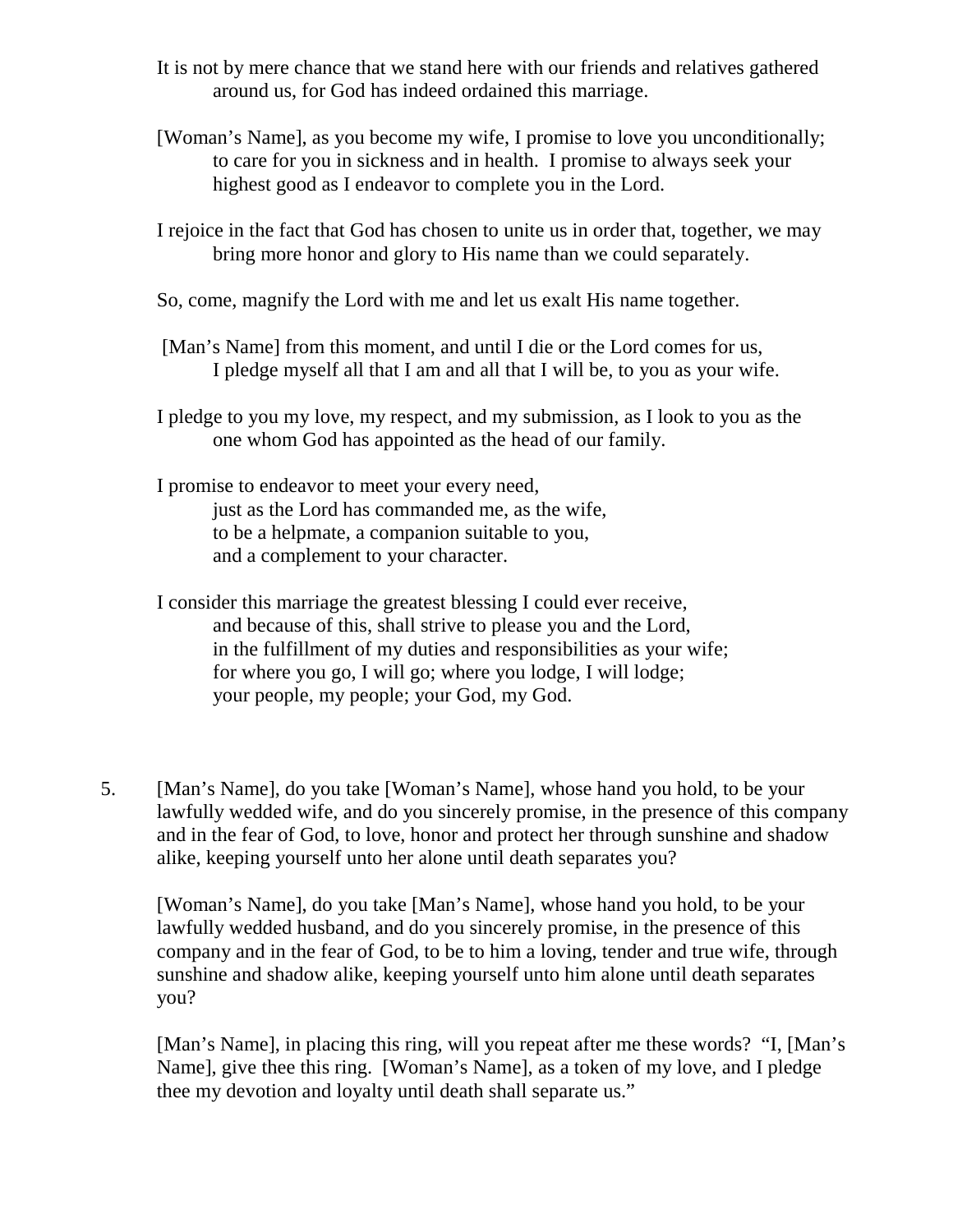- It is not by mere chance that we stand here with our friends and relatives gathered around us, for God has indeed ordained this marriage.
- [Woman's Name], as you become my wife, I promise to love you unconditionally; to care for you in sickness and in health. I promise to always seek your highest good as I endeavor to complete you in the Lord.
- I rejoice in the fact that God has chosen to unite us in order that, together, we may bring more honor and glory to His name than we could separately.
- So, come, magnify the Lord with me and let us exalt His name together.
- [Man's Name] from this moment, and until I die or the Lord comes for us, I pledge myself all that I am and all that I will be, to you as your wife.
- I pledge to you my love, my respect, and my submission, as I look to you as the one whom God has appointed as the head of our family.
- I promise to endeavor to meet your every need, just as the Lord has commanded me, as the wife, to be a helpmate, a companion suitable to you, and a complement to your character.

I consider this marriage the greatest blessing I could ever receive, and because of this, shall strive to please you and the Lord, in the fulfillment of my duties and responsibilities as your wife; for where you go, I will go; where you lodge, I will lodge; your people, my people; your God, my God.

5. [Man's Name], do you take [Woman's Name], whose hand you hold, to be your lawfully wedded wife, and do you sincerely promise, in the presence of this company and in the fear of God, to love, honor and protect her through sunshine and shadow alike, keeping yourself unto her alone until death separates you?

[Woman's Name], do you take [Man's Name], whose hand you hold, to be your lawfully wedded husband, and do you sincerely promise, in the presence of this company and in the fear of God, to be to him a loving, tender and true wife, through sunshine and shadow alike, keeping yourself unto him alone until death separates you?

[Man's Name], in placing this ring, will you repeat after me these words? "I, [Man's Name], give thee this ring. [Woman's Name], as a token of my love, and I pledge thee my devotion and loyalty until death shall separate us."